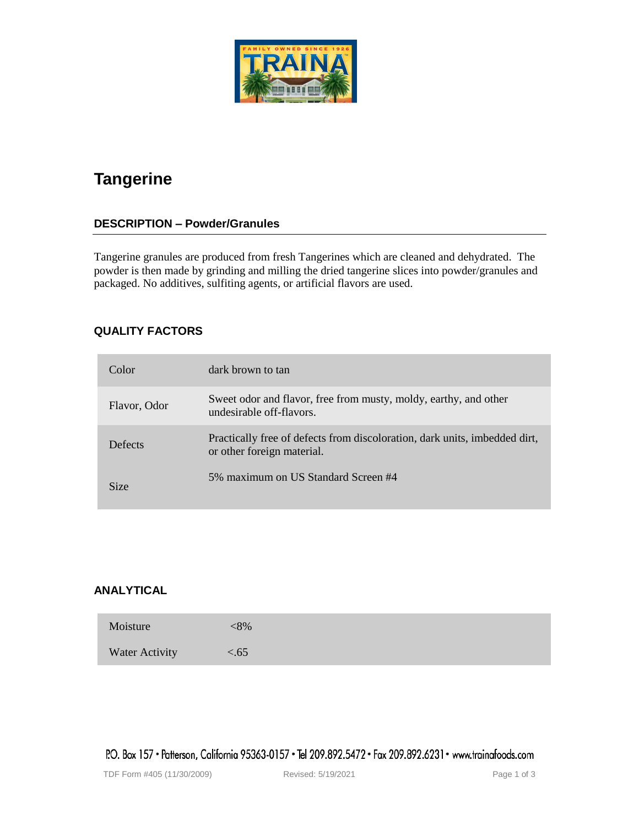# **Tangerine**

## **DESCRIPTION – Powder/Granules**

Tangerine granules are produced from fresh Tangerines which are cleaned and dehydrated. The powder is then made by grinding and milling the dried tangerine slices into powder/granules and packaged. No additives, sulfiting agents, or artificial flavors are used.

## **QUALITY FACTORS**

| Color        | dark brown to tan                                                                                        |
|--------------|----------------------------------------------------------------------------------------------------------|
| Flavor, Odor | Sweet odor and flavor, free from musty, moldy, earthy, and other<br>undesirable off-flavors.             |
| Defects      | Practically free of defects from discoloration, dark units, imbedded dirt,<br>or other foreign material. |
| Size         | 5% maximum on US Standard Screen #4                                                                      |

## **ANALYTICAL**

| Moisture       | $<\!\!8\%$ |
|----------------|------------|
| Water Activity | < 65       |

P.O. Box 157 • Patterson, California 95363-0157 • Tel 209.892.5472 • Fax 209.892.6231 • www.trainafoods.com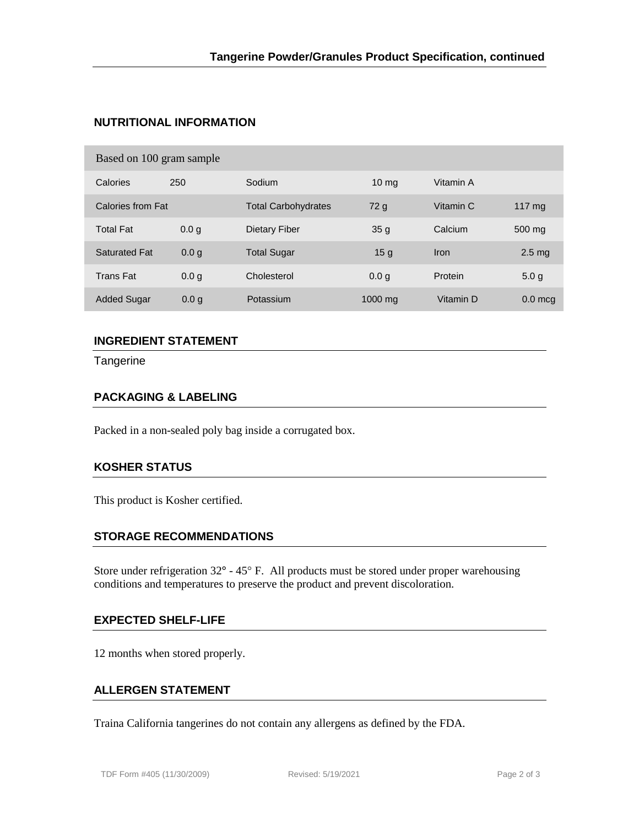# **NUTRITIONAL INFORMATION**

#### Based on 100 gram sample

| ັ                    |                  |                            |                  |           |                   |
|----------------------|------------------|----------------------------|------------------|-----------|-------------------|
| Calories             | 250              | Sodium                     | 10 <sub>mg</sub> | Vitamin A |                   |
| Calories from Fat    |                  | <b>Total Carbohydrates</b> | 72 <sub>g</sub>  | Vitamin C | 117 $mg$          |
| <b>Total Fat</b>     | 0.0 <sub>q</sub> | Dietary Fiber              | 35 <sub>g</sub>  | Calcium   | 500 mg            |
| <b>Saturated Fat</b> | 0.0 <sub>q</sub> | <b>Total Sugar</b>         | 15 <sub>g</sub>  | Iron      | 2.5 <sub>mg</sub> |
| <b>Trans Fat</b>     | 0.0 <sub>q</sub> | Cholesterol                | 0.0 <sub>g</sub> | Protein   | 5.0 <sub>q</sub>  |
| <b>Added Sugar</b>   | 0.0 <sub>q</sub> | Potassium                  | $1000$ mg        | Vitamin D | $0.0$ mcg         |

# **INGREDIENT STATEMENT**

**Tangerine** 

## **PACKAGING & LABELING**

Packed in a non-sealed poly bag inside a corrugated box.

## **KOSHER STATUS**

This product is Kosher certified.

#### **STORAGE RECOMMENDATIONS**

Store under refrigeration  $32^{\circ}$  -  $45^{\circ}$  F. All products must be stored under proper warehousing conditions and temperatures to preserve the product and prevent discoloration.

## **EXPECTED SHELF-LIFE**

12 months when stored properly.

### **ALLERGEN STATEMENT**

Traina California tangerines do not contain any allergens as defined by the FDA.